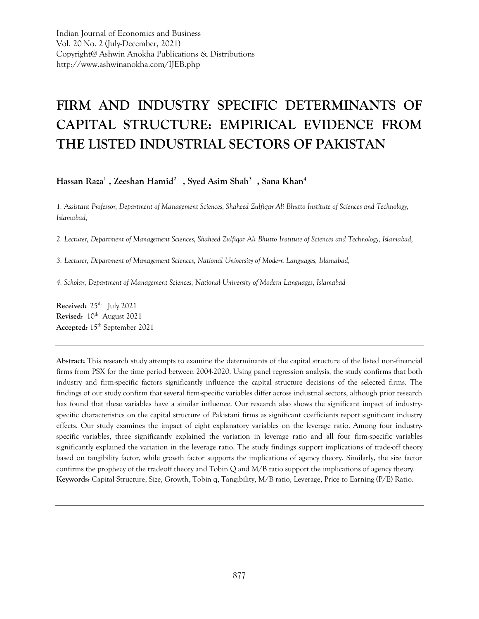Indian Journal of Economics and Business Vol. 20 No. 2 (July-December, 2021) Copyright@ Ashwin Anokha Publications & Distributions http://www.ashwinanokha.com/IJEB.php

# **FIRM AND INDUSTRY SPECIFIC DETERMINANTS OF CAPITAL STRUCTURE: EMPIRICAL EVIDENCE FROM THE LISTED INDUSTRIAL SECTORS OF PAKISTAN**

**Hassan Raza<sup>1</sup>, Zeeshan Hamid<sup>2</sup>, Syed Asim Shah<sup>3</sup>, Sana Khan<sup>4</sup>**

*1. Assistant Professor, Department of Management Sciences, Shaheed Zulfiqar Ali Bhutto Institute of Sciences and Technology, Islamabad,* 

*2. Lecturer, Department of Management Sciences, Shaheed Zulfiqar Ali Bhutto Institute of Sciences and Technology, Islamabad,* 

*3. Lecturer, Department of Management Sciences, National University of Modern Languages, Islamabad,* 

*4. Scholar, Department of Management Sciences, National University of Modern Languages, Islamabad*

**Received:** 25<sup>th</sup> July 2021 **Revised:**  $10^{th}$  August 2021 **Accepted:** 15th September 2021

**Abstract:** This research study attempts to examine the determinants of the capital structure of the listed non-financial firms from PSX for the time period between 2004-2020. Using panel regression analysis, the study confirms that both industry and firm-specific factors significantly influence the capital structure decisions of the selected firms. The findings of our study confirm that several firm-specific variables differ across industrial sectors, although prior research has found that these variables have a similar influence. Our research also shows the significant impact of industryspecific characteristics on the capital structure of Pakistani firms as significant coefficients report significant industry effects. Our study examines the impact of eight explanatory variables on the leverage ratio. Among four industryspecific variables, three significantly explained the variation in leverage ratio and all four firm-specific variables significantly explained the variation in the leverage ratio. The study findings support implications of trade-off theory based on tangibility factor, while growth factor supports the implications of agency theory. Similarly, the size factor confirms the prophecy of the tradeoff theory and Tobin Q and M/B ratio support the implications of agency theory. **Keywords:** Capital Structure, Size, Growth, Tobin q, Tangibility, M/B ratio, Leverage, Price to Earning (P/E) Ratio.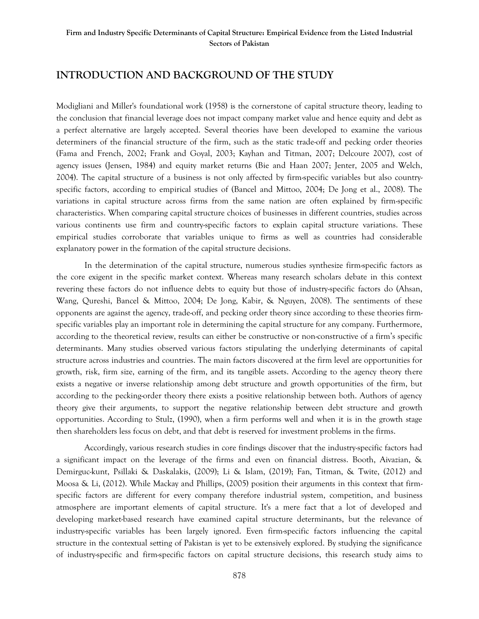# **INTRODUCTION AND BACKGROUND OF THE STUDY**

Modigliani and Miller's foundational work (1958) is the cornerstone of capital structure theory, leading to the conclusion that financial leverage does not impact company market value and hence equity and debt as a perfect alternative are largely accepted. Several theories have been developed to examine the various determiners of the financial structure of the firm, such as the static trade-off and pecking order theories (Fama and French, 2002; Frank and Goyal, 2003; Kayhan and Titman, 2007; Delcoure 2007), cost of agency issues (Jensen, 1984) and equity market returns (Bie and Haan 2007; Jenter, 2005 and Welch, 2004). The capital structure of a business is not only affected by firm-specific variables but also countryspecific factors, according to empirical studies of (Bancel and Mittoo, 2004; De Jong et al., 2008). The variations in capital structure across firms from the same nation are often explained by firm-specific characteristics. When comparing capital structure choices of businesses in different countries, studies across various continents use firm and country-specific factors to explain capital structure variations. These empirical studies corroborate that variables unique to firms as well as countries had considerable explanatory power in the formation of the capital structure decisions.

In the determination of the capital structure, numerous studies synthesize firm-specific factors as the core exigent in the specific market context. Whereas many research scholars debate in this context revering these factors do not influence debts to equity but those of industry-specific factors do (Ahsan, Wang, Qureshi, Bancel & Mittoo, 2004; De Jong, Kabir, & Nguyen, 2008). The sentiments of these opponents are against the agency, trade-off, and pecking order theory since according to these theories firmspecific variables play an important role in determining the capital structure for any company. Furthermore, according to the theoretical review, results can either be constructive or non-constructive of a firm's specific determinants. Many studies observed various factors stipulating the underlying determinants of capital structure across industries and countries. The main factors discovered at the firm level are opportunities for growth, risk, firm size, earning of the firm, and its tangible assets. According to the agency theory there exists a negative or inverse relationship among debt structure and growth opportunities of the firm, but according to the pecking-order theory there exists a positive relationship between both. Authors of agency theory give their arguments, to support the negative relationship between debt structure and growth opportunities. According to Stulz, (1990), when a firm performs well and when it is in the growth stage then shareholders less focus on debt, and that debt is reserved for investment problems in the firms.

Accordingly, various research studies in core findings discover that the industry-specific factors had a significant impact on the leverage of the firms and even on financial distress. Booth, Aivazian, & Demirguc-kunt, Psillaki & Daskalakis, (2009); Li & Islam, (2019); Fan, Titman, & Twite, (2012) and Moosa & Li, (2012). While Mackay and Phillips, (2005) position their arguments in this context that firmspecific factors are different for every company therefore industrial system, competition, and business atmosphere are important elements of capital structure. It's a mere fact that a lot of developed and developing market-based research have examined capital structure determinants, but the relevance of industry-specific variables has been largely ignored. Even firm-specific factors influencing the capital structure in the contextual setting of Pakistan is yet to be extensively explored. By studying the significance of industry-specific and firm-specific factors on capital structure decisions, this research study aims to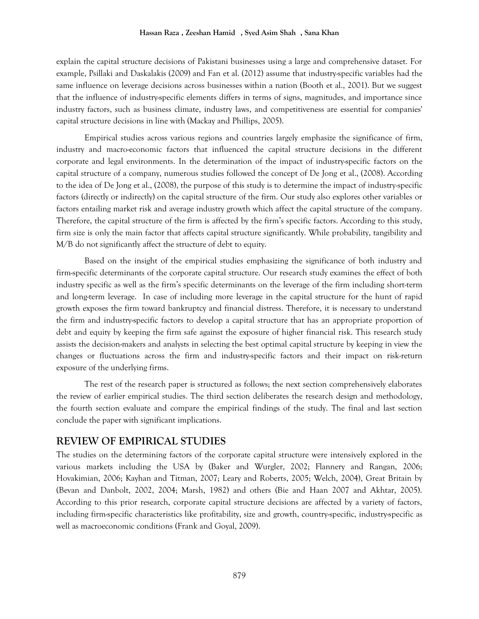explain the capital structure decisions of Pakistani businesses using a large and comprehensive dataset. For example, Psillaki and Daskalakis (2009) and Fan et al. (2012) assume that industry-specific variables had the same influence on leverage decisions across businesses within a nation (Booth et al., 2001). But we suggest that the influence of industry-specific elements differs in terms of signs, magnitudes, and importance since industry factors, such as business climate, industry laws, and competitiveness are essential for companies' capital structure decisions in line with (Mackay and Phillips, 2005).

Empirical studies across various regions and countries largely emphasize the significance of firm, industry and macro-economic factors that influenced the capital structure decisions in the different corporate and legal environments. In the determination of the impact of industry-specific factors on the capital structure of a company, numerous studies followed the concept of De Jong et al., (2008). According to the idea of De Jong et al., (2008), the purpose of this study is to determine the impact of industry-specific factors (directly or indirectly) on the capital structure of the firm. Our study also explores other variables or factors entailing market risk and average industry growth which affect the capital structure of the company. Therefore, the capital structure of the firm is affected by the firm's specific factors. According to this study, firm size is only the main factor that affects capital structure significantly. While probability, tangibility and M/B do not significantly affect the structure of debt to equity.

Based on the insight of the empirical studies emphasizing the significance of both industry and firm-specific determinants of the corporate capital structure. Our research study examines the effect of both industry specific as well as the firm's specific determinants on the leverage of the firm including short-term and long-term leverage. In case of including more leverage in the capital structure for the hunt of rapid growth exposes the firm toward bankruptcy and financial distress. Therefore, it is necessary to understand the firm and industry-specific factors to develop a capital structure that has an appropriate proportion of debt and equity by keeping the firm safe against the exposure of higher financial risk. This research study assists the decision-makers and analysts in selecting the best optimal capital structure by keeping in view the changes or fluctuations across the firm and industry-specific factors and their impact on risk-return exposure of the underlying firms.

The rest of the research paper is structured as follows; the next section comprehensively elaborates the review of earlier empirical studies. The third section deliberates the research design and methodology, the fourth section evaluate and compare the empirical findings of the study. The final and last section conclude the paper with significant implications.

## **REVIEW OF EMPIRICAL STUDIES**

The studies on the determining factors of the corporate capital structure were intensively explored in the various markets including the USA by (Baker and Wurgler, 2002; Flannery and Rangan, 2006; Hovakimian, 2006; Kayhan and Titman, 2007; Leary and Roberts, 2005; Welch, 2004), Great Britain by (Bevan and Danbolt, 2002, 2004; Marsh, 1982) and others (Bie and Haan 2007 and Akhtar, 2005). According to this prior research, corporate capital structure decisions are affected by a variety of factors, including firm-specific characteristics like profitability, size and growth, country-specific, industry-specific as well as macroeconomic conditions (Frank and Goyal, 2009).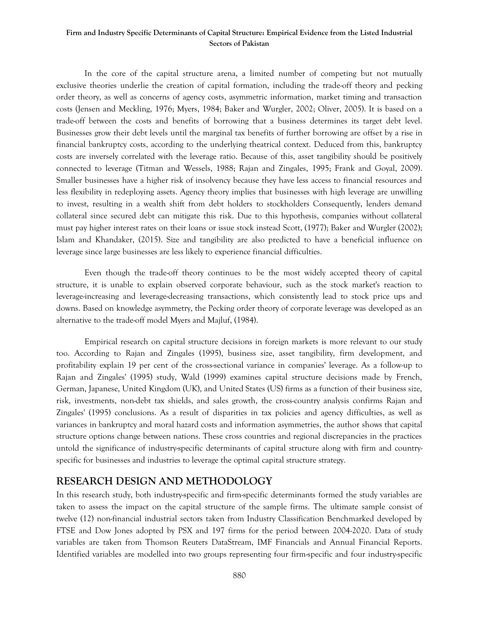In the core of the capital structure arena, a limited number of competing but not mutually exclusive theories underlie the creation of capital formation, including the trade-off theory and pecking order theory, as well as concerns of agency costs, asymmetric information, market timing and transaction costs (Jensen and Meckling, 1976; Myers, 1984; Baker and Wurgler, 2002; Oliver, 2005). It is based on a trade-off between the costs and benefits of borrowing that a business determines its target debt level. Businesses grow their debt levels until the marginal tax benefits of further borrowing are offset by a rise in financial bankruptcy costs, according to the underlying theatrical context. Deduced from this, bankruptcy costs are inversely correlated with the leverage ratio. Because of this, asset tangibility should be positively connected to leverage (Titman and Wessels, 1988; Rajan and Zingales, 1995; Frank and Goyal, 2009). Smaller businesses have a higher risk of insolvency because they have less access to financial resources and less flexibility in redeploying assets. Agency theory implies that businesses with high leverage are unwilling to invest, resulting in a wealth shift from debt holders to stockholders Consequently, lenders demand collateral since secured debt can mitigate this risk. Due to this hypothesis, companies without collateral must pay higher interest rates on their loans or issue stock instead Scott, (1977); Baker and Wurgler (2002); Islam and Khandaker, (2015). Size and tangibility are also predicted to have a beneficial influence on leverage since large businesses are less likely to experience financial difficulties.

Even though the trade-off theory continues to be the most widely accepted theory of capital structure, it is unable to explain observed corporate behaviour, such as the stock market's reaction to leverage-increasing and leverage-decreasing transactions, which consistently lead to stock price ups and downs. Based on knowledge asymmetry, the Pecking order theory of corporate leverage was developed as an alternative to the trade-off model Myers and Majluf, (1984).

Empirical research on capital structure decisions in foreign markets is more relevant to our study too. According to Rajan and Zingales (1995), business size, asset tangibility, firm development, and profitability explain 19 per cent of the cross-sectional variance in companies' leverage. As a follow-up to Rajan and Zingales' (1995) study, Wald (1999) examines capital structure decisions made by French, German, Japanese, United Kingdom (UK), and United States (US) firms as a function of their business size, risk, investments, non-debt tax shields, and sales growth, the cross-country analysis confirms Rajan and Zingales' (1995) conclusions. As a result of disparities in tax policies and agency difficulties, as well as variances in bankruptcy and moral hazard costs and information asymmetries, the author shows that capital structure options change between nations. These cross countries and regional discrepancies in the practices untold the significance of industry-specific determinants of capital structure along with firm and countryspecific for businesses and industries to leverage the optimal capital structure strategy.

## **RESEARCH DESIGN AND METHODOLOGY**

In this research study, both industry-specific and firm-specific determinants formed the study variables are taken to assess the impact on the capital structure of the sample firms. The ultimate sample consist of twelve (12) non-financial industrial sectors taken from Industry Classification Benchmarked developed by FTSE and Dow Jones adopted by PSX and 197 firms for the period between 2004-2020. Data of study variables are taken from Thomson Reuters DataStream, IMF Financials and Annual Financial Reports. Identified variables are modelled into two groups representing four firm-specific and four industry-specific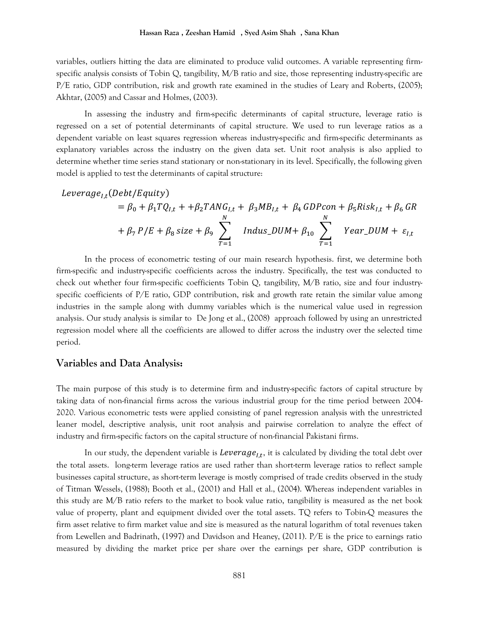variables, outliers hitting the data are eliminated to produce valid outcomes. A variable representing firmspecific analysis consists of Tobin Q, tangibility,  $M/B$  ratio and size, those representing industry-specific are P/E ratio, GDP contribution, risk and growth rate examined in the studies of Leary and Roberts, (2005); Akhtar, (2005) and Cassar and Holmes, (2003).

In assessing the industry and firm-specific determinants of capital structure, leverage ratio is regressed on a set of potential determinants of capital structure. We used to run leverage ratios as a dependent variable on least squares regression whereas industry-specific and firm-specific determinants as explanatory variables across the industry on the given data set. Unit root analysis is also applied to determine whether time series stand stationary or non-stationary in its level. Specifically, the following given model is applied to test the determinants of capital structure:

$$
Leverage_{I,t} (Debt/Equity)
$$
  
=  $\beta_0 + \beta_1 T Q_{I,t} + + \beta_2 T ANG_{I,t} + \beta_3 MB_{I,t} + \beta_4 GDPcon + \beta_5 Risk_{I,t} + \beta_6 GR$   
+  $\beta_7 P/E + \beta_8 size + \beta_9 \sum_{T=1}^N Indus_DUM + \beta_{10} \sum_{T=1}^N Year_DUM + \varepsilon_{I,t}$ 

In the process of econometric testing of our main research hypothesis. first, we determine both firm-specific and industry-specific coefficients across the industry. Specifically, the test was conducted to check out whether four firm-specific coefficients Tobin Q, tangibility, M/B ratio, size and four industryspecific coefficients of P/E ratio, GDP contribution, risk and growth rate retain the similar value among industries in the sample along with dummy variables which is the numerical value used in regression analysis. Our study analysis is similar to De Jong et al., (2008) approach followed by using an unrestricted regression model where all the coefficients are allowed to differ across the industry over the selected time period.

#### **Variables and Data Analysis:**

The main purpose of this study is to determine firm and industry-specific factors of capital structure by taking data of non-financial firms across the various industrial group for the time period between 2004- 2020. Various econometric tests were applied consisting of panel regression analysis with the unrestricted leaner model, descriptive analysis, unit root analysis and pairwise correlation to analyze the effect of industry and firm-specific factors on the capital structure of non-financial Pakistani firms.

In our study, the dependent variable is  $\mathit{Leverage}_{I,t},$  it is calculated by dividing the total debt over the total assets. long-term leverage ratios are used rather than short-term leverage ratios to reflect sample businesses capital structure, as short-term leverage is mostly comprised of trade credits observed in the study of Titman Wessels, (1988); Booth et al., (2001) and Hall et al., (2004). Whereas independent variables in this study are M/B ratio refers to the market to book value ratio, tangibility is measured as the net book value of property, plant and equipment divided over the total assets. TQ refers to Tobin-Q measures the firm asset relative to firm market value and size is measured as the natural logarithm of total revenues taken from Lewellen and Badrinath, (1997) and Davidson and Heaney, (2011). P/E is the price to earnings ratio measured by dividing the market price per share over the earnings per share, GDP contribution is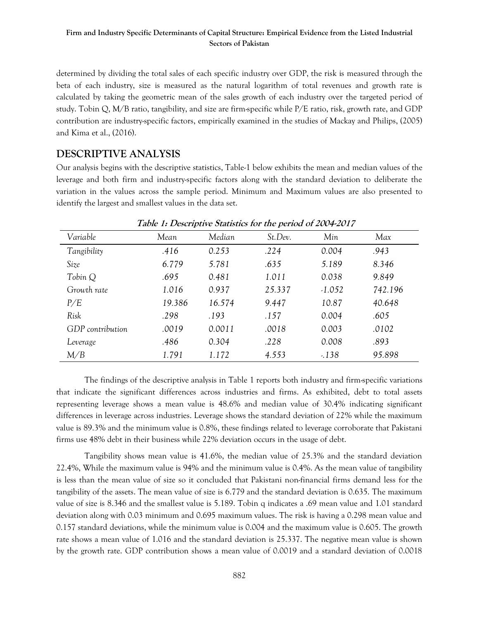determined by dividing the total sales of each specific industry over GDP, the risk is measured through the beta of each industry, size is measured as the natural logarithm of total revenues and growth rate is calculated by taking the geometric mean of the sales growth of each industry over the targeted period of study. Tobin Q, M/B ratio, tangibility, and size are firm-specific while P/E ratio, risk, growth rate, and GDP contribution are industry-specific factors, empirically examined in the studies of Mackay and Philips, (2005) and Kima et al., (2016).

## **DESCRIPTIVE ANALYSIS**

Our analysis begins with the descriptive statistics, Table-1 below exhibits the mean and median values of the leverage and both firm and industry-specific factors along with the standard deviation to deliberate the variation in the values across the sample period. Minimum and Maximum values are also presented to identify the largest and smallest values in the data set.

| Table 1. Descriptive statistics for the period of 2007 2017 |        |        |         |          |         |  |  |
|-------------------------------------------------------------|--------|--------|---------|----------|---------|--|--|
| Variable                                                    | Mean   | Median | St.Dev. | Min      | Max     |  |  |
| Tangibility                                                 | .416   | 0.253  | .224    | 0.004    | .943    |  |  |
| Size                                                        | 6.779  | 5.781  | .635    | 5.189    | 8.346   |  |  |
| Tobin Q                                                     | .695   | 0.481  | 1.011   | 0.038    | 9.849   |  |  |
| Growth rate                                                 | 1.016  | 0.937  | 25.337  | $-1.052$ | 742.196 |  |  |
| P/E                                                         | 19.386 | 16.574 | 9.447   | 10.87    | 40.648  |  |  |
| Risk                                                        | .298   | .193   | .157    | 0.004    | .605    |  |  |
| GDP contribution                                            | .0019  | 0.0011 | .0018   | 0.003    | .0102   |  |  |
| Leverage                                                    | .486   | 0.304  | .228    | 0.008    | .893    |  |  |
| M/B                                                         | 1.791  | 1.172  | 4.553   | $-138$   | 95.898  |  |  |

 **Table 1: Descriptive Statistics for the period of 2004-2017**

The findings of the descriptive analysis in Table 1 reports both industry and firm-specific variations that indicate the significant differences across industries and firms. As exhibited, debt to total assets representing leverage shows a mean value is 48.6% and median value of 30.4% indicating significant differences in leverage across industries. Leverage shows the standard deviation of 22% while the maximum value is 89.3% and the minimum value is 0.8%, these findings related to leverage corroborate that Pakistani firms use 48% debt in their business while 22% deviation occurs in the usage of debt.

Tangibility shows mean value is 41.6%, the median value of 25.3% and the standard deviation 22.4%, While the maximum value is 94% and the minimum value is 0.4%. As the mean value of tangibility is less than the mean value of size so it concluded that Pakistani non-financial firms demand less for the tangibility of the assets. The mean value of size is 6.779 and the standard deviation is 0.635. The maximum value of size is 8.346 and the smallest value is 5.189. Tobin q indicates a .69 mean value and 1.01 standard deviation along with 0.03 minimum and 0.695 maximum values. The risk is having a 0.298 mean value and 0.157 standard deviations, while the minimum value is 0.004 and the maximum value is 0.605. The growth rate shows a mean value of 1.016 and the standard deviation is 25.337. The negative mean value is shown by the growth rate. GDP contribution shows a mean value of 0.0019 and a standard deviation of 0.0018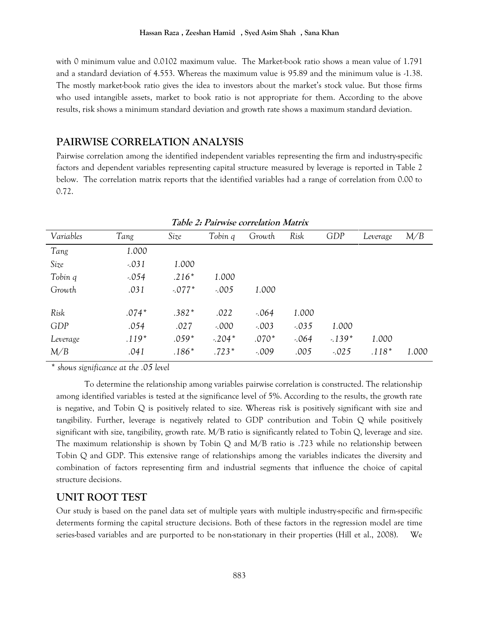with 0 minimum value and 0.0102 maximum value. The Market-book ratio shows a mean value of 1.791 and a standard deviation of 4.553. Whereas the maximum value is 95.89 and the minimum value is -1.38. The mostly market-book ratio gives the idea to investors about the market's stock value. But those firms who used intangible assets, market to book ratio is not appropriate for them. According to the above results, risk shows a minimum standard deviation and growth rate shows a maximum standard deviation.

## **PAIRWISE CORRELATION ANALYSIS**

Pairwise correlation among the identified independent variables representing the firm and industry-specific factors and dependent variables representing capital structure measured by leverage is reported in Table 2 below. The correlation matrix reports that the identified variables had a range of correlation from 0.00 to 0.72.

| Table 2: Fairwise correlation matrix |          |         |          |         |         |          |          |       |
|--------------------------------------|----------|---------|----------|---------|---------|----------|----------|-------|
| Variables                            | Tang     | Size    | Tobin q  | Growth  | Risk    | GDP      | Leverage | M/B   |
| Tang                                 | 1.000    |         |          |         |         |          |          |       |
| Size                                 | $-.031$  | 1.000   |          |         |         |          |          |       |
| Tobin q                              | $-0.054$ | $.216*$ | 1.000    |         |         |          |          |       |
| Growth                               | .031     | $-077*$ | $-.005$  | 1.000   |         |          |          |       |
| Risk                                 | $.074*$  | $.382*$ | .022     | $-064$  | 1.000   |          |          |       |
| GDP                                  | .054     | .027    | $-.000$  | $-.003$ | $-.035$ | 1.000    |          |       |
| Leverage                             | $.119*$  | $.059*$ | $-.204*$ | $.070*$ | $-064$  | $-139*$  | 1.000    |       |
| M/B                                  | .041     | $.186*$ | $.723*$  | $-.009$ | .005    | $-0.025$ | $.118*$  | 1.000 |

**Table 2: Pairwise correlation Matrix**

*\* shows significance at the .05 level* 

To determine the relationship among variables pairwise correlation is constructed. The relationship among identified variables is tested at the significance level of 5%. According to the results, the growth rate is negative, and Tobin Q is positively related to size. Whereas risk is positively significant with size and tangibility. Further, leverage is negatively related to GDP contribution and Tobin Q while positively significant with size, tangibility, growth rate. M/B ratio is significantly related to Tobin Q, leverage and size. The maximum relationship is shown by Tobin Q and  $M/B$  ratio is .723 while no relationship between Tobin Q and GDP. This extensive range of relationships among the variables indicates the diversity and combination of factors representing firm and industrial segments that influence the choice of capital structure decisions.

## **UNIT ROOT TEST**

Our study is based on the panel data set of multiple years with multiple industry-specific and firm-specific determents forming the capital structure decisions. Both of these factors in the regression model are time series-based variables and are purported to be non-stationary in their properties (Hill et al., 2008). We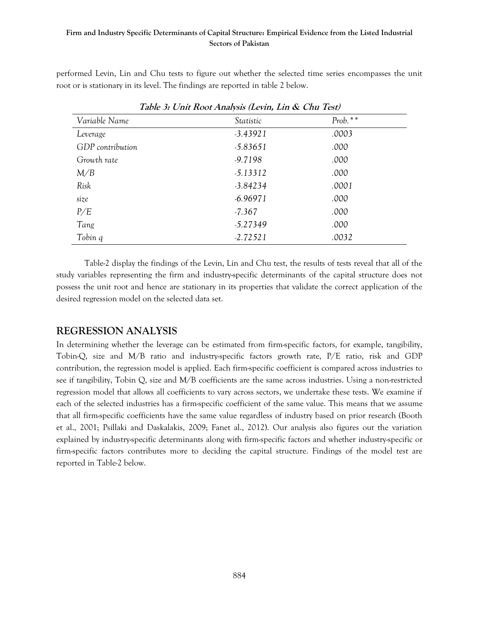performed Levin, Lin and Chu tests to figure out whether the selected time series encompasses the unit root or is stationary in its level. The findings are reported in table 2 below.

|                         | Tavie ): Unit Root Analysis (Levin, Lin & Chu Test) |           |  |
|-------------------------|-----------------------------------------------------|-----------|--|
| Variable Name           | Statistic                                           | $Prob.**$ |  |
| Leverage                | $-3.43921$                                          | .0003     |  |
| <b>GDP</b> contribution | $-5.83651$                                          | .000      |  |
| Growth rate             | $-9.7198$                                           | .000      |  |
| M/B                     | $-5.13312$                                          | .000      |  |
| Risk                    | $-3.84234$                                          | .0001     |  |
| size                    | $-6.96971$                                          | .000      |  |
| P/E                     | $-7.367$                                            | .000      |  |
| Tang                    | $-5.27349$                                          | .000      |  |
| Tobin q                 | $-2.72521$                                          | .0032     |  |

**Table 3: Unit Root Analysis (Levin, Lin & Chu Test)**

Table-2 display the findings of the Levin, Lin and Chu test, the results of tests reveal that all of the study variables representing the firm and industry-specific determinants of the capital structure does not possess the unit root and hence are stationary in its properties that validate the correct application of the desired regression model on the selected data set.

## **REGRESSION ANALYSIS**

In determining whether the leverage can be estimated from firm-specific factors, for example, tangibility, Tobin-Q, size and M/B ratio and industry-specific factors growth rate, P/E ratio, risk and GDP contribution, the regression model is applied. Each firm-specific coefficient is compared across industries to see if tangibility, Tobin Q, size and M/B coefficients are the same across industries. Using a non-restricted regression model that allows all coefficients to vary across sectors, we undertake these tests. We examine if each of the selected industries has a firm-specific coefficient of the same value. This means that we assume that all firm-specific coefficients have the same value regardless of industry based on prior research (Booth et al., 2001; Psillaki and Daskalakis, 2009; Fanet al., 2012). Our analysis also figures out the variation explained by industry-specific determinants along with firm-specific factors and whether industry-specific or firm-specific factors contributes more to deciding the capital structure. Findings of the model test are reported in Table-2 below.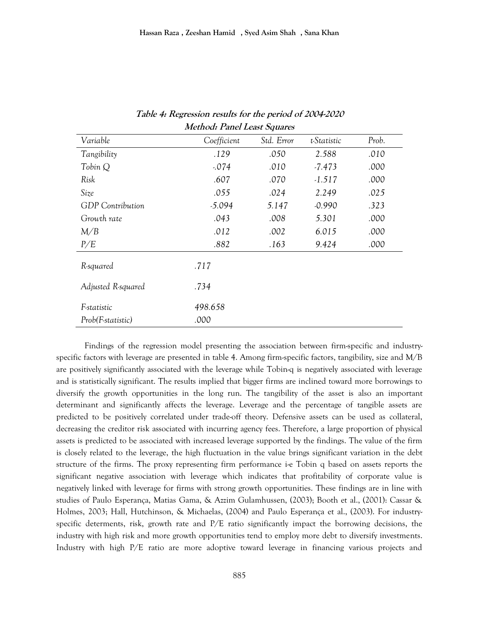| memoin 1 anni Least Olfan es |             |            |             |       |  |  |  |
|------------------------------|-------------|------------|-------------|-------|--|--|--|
| Variable                     | Coefficient | Std. Error | t-Statistic | Prob. |  |  |  |
| Tangibility                  | .129        | .050       | 2.588       | .010  |  |  |  |
| Tobin Q                      | $-074$      | .010       | $-7.473$    | .000  |  |  |  |
| Risk                         | .607        | .070       | $-1.517$    | .000  |  |  |  |
| Size                         | .055        | .024       | 2.249       | .025  |  |  |  |
| <b>GDP</b> Contribution      | $-5.094$    | 5.147      | $-0.990$    | .323  |  |  |  |
| Growth rate                  | .043        | .008       | 5.301       | .000  |  |  |  |
| M/B                          | .012        | .002       | 6.015       | .000  |  |  |  |
| P/E                          | .882        | .163       | 9.424       | .000  |  |  |  |
| R-squared                    | .717        |            |             |       |  |  |  |
| Adjusted R-squared           | .734        |            |             |       |  |  |  |
| F-statistic                  | 498.658     |            |             |       |  |  |  |
| Prob(F-statistic)            | .000        |            |             |       |  |  |  |

**Table 4: Regression results for the period of 2004-2020 Method: Panel Least Squares**

Findings of the regression model presenting the association between firm-specific and industryspecific factors with leverage are presented in table 4. Among firm-specific factors, tangibility, size and M/B are positively significantly associated with the leverage while Tobin-q is negatively associated with leverage and is statistically significant. The results implied that bigger firms are inclined toward more borrowings to diversify the growth opportunities in the long run. The tangibility of the asset is also an important determinant and significantly affects the leverage. Leverage and the percentage of tangible assets are predicted to be positively correlated under trade-off theory. Defensive assets can be used as collateral, decreasing the creditor risk associated with incurring agency fees. Therefore, a large proportion of physical assets is predicted to be associated with increased leverage supported by the findings. The value of the firm is closely related to the leverage, the high fluctuation in the value brings significant variation in the debt structure of the firms. The proxy representing firm performance i-e Tobin q based on assets reports the significant negative association with leverage which indicates that profitability of corporate value is negatively linked with leverage for firms with strong growth opportunities. These findings are in line with studies of Paulo Esperança, Matias Gama, & Azzim Gulamhussen, (2003); Booth et al., (2001): Cassar & Holmes, 2003; Hall, Hutchinson, & Michaelas, (2004) and Paulo Esperança et al., (2003). For industryspecific determents, risk, growth rate and P/E ratio significantly impact the borrowing decisions, the industry with high risk and more growth opportunities tend to employ more debt to diversify investments. Industry with high P/E ratio are more adoptive toward leverage in financing various projects and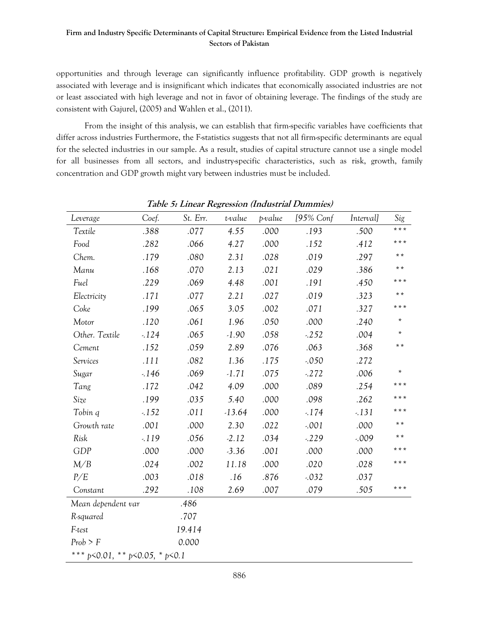opportunities and through leverage can significantly influence profitability. GDP growth is negatively associated with leverage and is insignificant which indicates that economically associated industries are not or least associated with high leverage and not in favor of obtaining leverage. The findings of the study are consistent with Gajurel, (2005) and Wahlen et al., (2011).

From the insight of this analysis, we can establish that firm-specific variables have coefficients that differ across industries Furthermore, the F-statistics suggests that not all firm-specific determinants are equal for the selected industries in our sample. As a result, studies of capital structure cannot use a single model for all businesses from all sectors, and industry-specific characteristics, such as risk, growth, family concentration and GDP growth might vary between industries must be included.

| Leverage                                           | Coef.  | St. Err. | t-value  | p-value | [95% Conf | <i>Interval]</i> | Sig     |
|----------------------------------------------------|--------|----------|----------|---------|-----------|------------------|---------|
| Textile                                            | .388   | .077     | 4.55     | .000    | .193      | .500             | * * *   |
| Food                                               | .282   | .066     | 4.27     | .000    | .152      | .412             | * * *   |
| Chem.                                              | .179   | .080     | 2.31     | .028    | .019      | .297             | * *     |
| Manu                                               | .168   | .070     | 2.13     | .021    | .029      | .386             | * *     |
| Fuel                                               | .229   | .069     | 4.48     | .001    | .191      | .450             | * * *   |
| Electricity                                        | .171   | .077     | 2.21     | .027    | .019      | .323             | $* *$   |
| Coke                                               | .199   | .065     | 3.05     | .002    | .071      | .327             | * * *   |
| Motor                                              | .120   | .061     | 1.96     | .050    | .000      | .240             | $\star$ |
| Other. Textile                                     | $-124$ | .065     | $-1.90$  | .058    | $-252$    | .004             | ×.      |
| Cement                                             | .152   | .059     | 2.89     | .076    | .063      | .368             | * *     |
| Services                                           | .111   | .082     | 1.36     | .175    | $-.050$   | .272             |         |
| Sugar                                              | $-146$ | .069     | $-1.71$  | .075    | $-272$    | .006             | *       |
| Tang                                               | .172   | .042     | 4.09     | .000    | .089      | .254             | * * *   |
| Size                                               | .199   | .035     | 5.40     | .000    | .098      | .262             | * * *   |
| Tobin q                                            | $-152$ | .011     | $-13.64$ | .000    | $-174$    | $-.131$          | * * *   |
| Growth rate                                        | .001   | .000     | 2.30     | .022    | $-.001$   | .000             | * *     |
| Risk                                               | $-119$ | .056     | $-2.12$  | .034    | $-229$    | $-.009$          | $* *$   |
| GDP                                                | .000   | .000     | $-3.36$  | .001    | .000      | .000             | * * *   |
| M/B                                                | .024   | .002     | 11.18    | .000    | .020      | .028             | * * *   |
| P/E                                                | .003   | .018     | .16      | .876    | $-.032$   | .037             |         |
| Constant                                           | .292   | .108     | 2.69     | .007    | .079      | .505             | * * *   |
| Mean dependent var                                 |        | .486     |          |         |           |                  |         |
| R-squared                                          |        | .707     |          |         |           |                  |         |
| F-test                                             |        | 19.414   |          |         |           |                  |         |
| Prob > F                                           |        | 0.000    |          |         |           |                  |         |
| *** $p \le 0.01$ , ** $p \le 0.05$ , * $p \le 0.1$ |        |          |          |         |           |                  |         |

**Table 5: Linear Regression (Industrial Dummies)**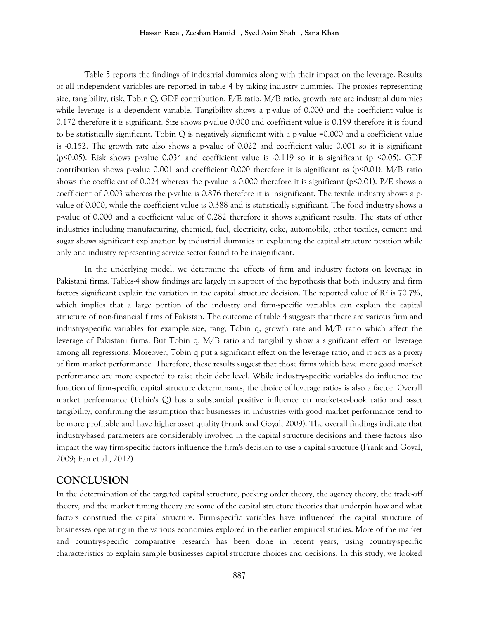Table 5 reports the findings of industrial dummies along with their impact on the leverage. Results of all independent variables are reported in table 4 by taking industry dummies. The proxies representing size, tangibility, risk, Tobin Q, GDP contribution, P/E ratio, M/B ratio, growth rate are industrial dummies while leverage is a dependent variable. Tangibility shows a p-value of 0.000 and the coefficient value is 0.172 therefore it is significant. Size shows p-value 0.000 and coefficient value is 0.199 therefore it is found to be statistically significant. Tobin Q is negatively significant with a p-value =0.000 and a coefficient value is -0.152. The growth rate also shows a p-value of 0.022 and coefficient value 0.001 so it is significant (p<0.05). Risk shows p-value 0.034 and coefficient value is  $-0.119$  so it is significant (p <0.05). GDP contribution shows p-value 0.001 and coefficient 0.000 therefore it is significant as  $(p<0.01)$ . M/B ratio shows the coefficient of 0.024 whereas the p-value is 0.000 therefore it is significant (p<0.01). P/E shows a coefficient of 0.003 whereas the p-value is 0.876 therefore it is insignificant. The textile industry shows a pvalue of 0.000, while the coefficient value is 0.388 and is statistically significant. The food industry shows a p-value of 0.000 and a coefficient value of 0.282 therefore it shows significant results. The stats of other industries including manufacturing, chemical, fuel, electricity, coke, automobile, other textiles, cement and sugar shows significant explanation by industrial dummies in explaining the capital structure position while only one industry representing service sector found to be insignificant.

In the underlying model, we determine the effects of firm and industry factors on leverage in Pakistani firms. Tables-4 show findings are largely in support of the hypothesis that both industry and firm factors significant explain the variation in the capital structure decision. The reported value of  $\mathbb{R}^2$  is 70.7%, which implies that a large portion of the industry and firm-specific variables can explain the capital structure of non-financial firms of Pakistan. The outcome of table 4 suggests that there are various firm and industry-specific variables for example size, tang, Tobin q, growth rate and M/B ratio which affect the leverage of Pakistani firms. But Tobin q, M/B ratio and tangibility show a significant effect on leverage among all regressions. Moreover, Tobin q put a significant effect on the leverage ratio, and it acts as a proxy of firm market performance. Therefore, these results suggest that those firms which have more good market performance are more expected to raise their debt level. While industry-specific variables do influence the function of firm-specific capital structure determinants, the choice of leverage ratios is also a factor. Overall market performance (Tobin's Q) has a substantial positive influence on market-to-book ratio and asset tangibility, confirming the assumption that businesses in industries with good market performance tend to be more profitable and have higher asset quality (Frank and Goyal, 2009). The overall findings indicate that industry-based parameters are considerably involved in the capital structure decisions and these factors also impact the way firm-specific factors influence the firm's decision to use a capital structure (Frank and Goyal, 2009; Fan et al., 2012).

## **CONCLUSION**

In the determination of the targeted capital structure, pecking order theory, the agency theory, the trade-off theory, and the market timing theory are some of the capital structure theories that underpin how and what factors construed the capital structure. Firm-specific variables have influenced the capital structure of businesses operating in the various economies explored in the earlier empirical studies. More of the market and country-specific comparative research has been done in recent years, using country-specific characteristics to explain sample businesses capital structure choices and decisions. In this study, we looked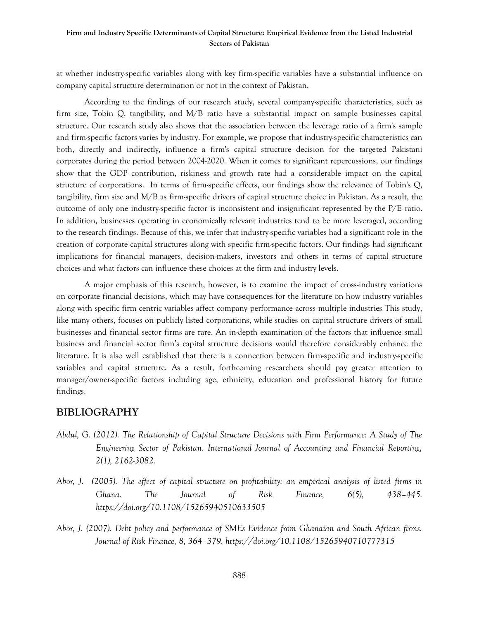at whether industry-specific variables along with key firm-specific variables have a substantial influence on company capital structure determination or not in the context of Pakistan.

According to the findings of our research study, several company-specific characteristics, such as firm size, Tobin Q, tangibility, and M/B ratio have a substantial impact on sample businesses capital structure. Our research study also shows that the association between the leverage ratio of a firm's sample and firm-specific factors varies by industry. For example, we propose that industry-specific characteristics can both, directly and indirectly, influence a firm's capital structure decision for the targeted Pakistani corporates during the period between 2004-2020. When it comes to significant repercussions, our findings show that the GDP contribution, riskiness and growth rate had a considerable impact on the capital structure of corporations. In terms of firm-specific effects, our findings show the relevance of Tobin's Q, tangibility, firm size and M/B as firm-specific drivers of capital structure choice in Pakistan. As a result, the outcome of only one industry-specific factor is inconsistent and insignificant represented by the P/E ratio. In addition, businesses operating in economically relevant industries tend to be more leveraged, according to the research findings. Because of this, we infer that industry-specific variables had a significant role in the creation of corporate capital structures along with specific firm-specific factors. Our findings had significant implications for financial managers, decision-makers, investors and others in terms of capital structure choices and what factors can influence these choices at the firm and industry levels.

A major emphasis of this research, however, is to examine the impact of cross-industry variations on corporate financial decisions, which may have consequences for the literature on how industry variables along with specific firm centric variables affect company performance across multiple industries This study, like many others, focuses on publicly listed corporations, while studies on capital structure drivers of small businesses and financial sector firms are rare. An in-depth examination of the factors that influence small business and financial sector firm's capital structure decisions would therefore considerably enhance the literature. It is also well established that there is a connection between firm-specific and industry-specific variables and capital structure. As a result, forthcoming researchers should pay greater attention to manager/owner-specific factors including age, ethnicity, education and professional history for future findings.

## **BIBLIOGRAPHY**

- *Abdul, G. (2012). The Relationship of Capital Structure Decisions with Firm Performance: A Study of The Engineering Sector of Pakistan. International Journal of Accounting and Financial Reporting, 2(1), 2162-3082.*
- *Abor, J. (2005). The effect of capital structure on profitability: an empirical analysis of listed firms in Ghana. The Journal of Risk Finance, 6(5), 438–445. <https://doi.org/10.1108/15265940510633505>*
- *Abor, J. (2007). Debt policy and performance of SMEs Evidence from Ghanaian and South African firms. Journal of Risk Finance, 8, 364–379.<https://doi.org/10.1108/15265940710777315>*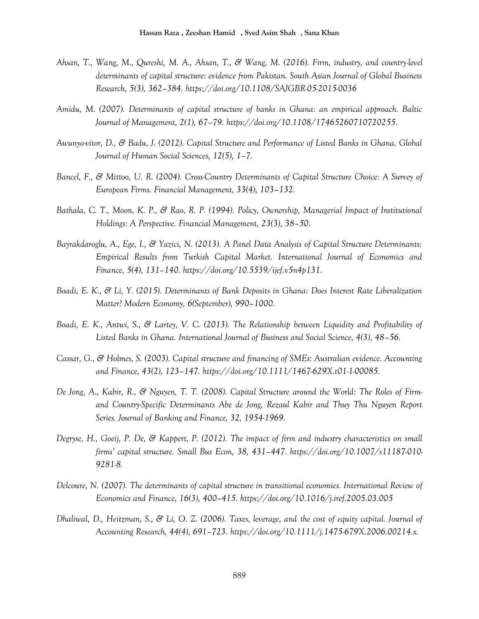- *Ahsan, T., Wang, M., Qureshi, M. A., Ahsan, T., & Wang, M. (2016). Firm, industry, and country-level determinants of capital structure: evidence from Pakistan. South Asian Journal of Global Business Research, 5(3), 362–384.<https://doi.org/10.1108/SAJGBR-05-2015-0036>*
- *Amidu, M. (2007). Determinants of capital structure of banks in Ghana: an empirical approach. Baltic Journal of Management, 2(1), 67–79. [https://doi.org/10.1108/17465260710720255.](https://doi.org/10.1108/17465260710720255)*
- *Awunyo-vitor, D., & Badu, J. (2012). Capital Structure and Performance of Listed Banks in Ghana. Global Journal of Human Social Sciences, 12(5), 1–7.*
- *Bancel, F., & Mittoo, U. R. (2004). Cross-Country Determinants of Capital Structure Choice: A Survey of European Firms. Financial Management, 33(4), 103–132.*
- *Bathala, C. T., Moon, K. P., & Rao, R. P. (1994). Policy, Ownership, Managerial Impact of Institutional Holdings: A Perspective. Financial Management, 23(3), 38–50.*
- *Bayrakdaroglu, A., Ege, I., & Yazici, N. (2013). A Panel Data Analysis of Capital Structure Determinants: Empirical Results from Turkish Capital Market. International Journal of Economics and Finance, 5(4), 131–140. [https://doi.org/10.5539/ijef.v5n4p131.](https://doi.org/10.5539/ijef.v5n4p131)*
- *Boadi, E. K., & Li, Y. (2015). Determinants of Bank Deposits in Ghana: Does Interest Rate Liberalization Matter? Modern Economy, 6(September), 990–1000.*
- *Boadi, E. K., Antwi, S., & Lartey, V. C. (2013). The Relationship between Liquidity and Profitability of Listed Banks in Ghana. International Journal of Business and Social Science, 4(3), 48–56.*
- *Cassar, G., & Holmes, S. (2003). Capital structure and financing of SMEs: Australian evidence. Accounting and Finance, 43(2), 123–147. [https://doi.org/10.1111/1467-629X.t01-1-00085.](https://doi.org/10.1111/1467-629X.t01-1-00085)*
- *De Jong, A., Kabir, R., & Nguyen, T. T. (2008). Capital Structure around the World: The Roles of Firmand Country-Specific Determinants Abe de Jong, Rezaul Kabir and Thuy Thu Nguyen Report Series. Journal of Banking and Finance, 32, 1954-1969.*
- *Degryse, H., Goeij, P. De, & Kappert, P. (2012). The impact of firm and industry characteristics on small firms' capital structure. Small Bus Econ, 38, 431–447. [https://doi.org/10.1007/s11187-010-](https://doi.org/10.1007/s11187-010-9281-8) [9281-8.](https://doi.org/10.1007/s11187-010-9281-8)*
- *Delcoure, N. (2007). The determinants of capital structure in transitional economies. International Review of Economics and Finance, 16(3), 400–415.<https://doi.org/10.1016/j.iref.2005.03.005>*
- *Dhaliwal, D., Heitzman, S., & Li, O. Z. (2006). Taxes, leverage, and the cost of equity capital. Journal of Accounting Research, 44(4), 691–723. [https://doi.org/10.1111/j.1475-679X.2006.00214.x.](https://doi.org/10.1111/j.1475-679X.2006.00214.x)*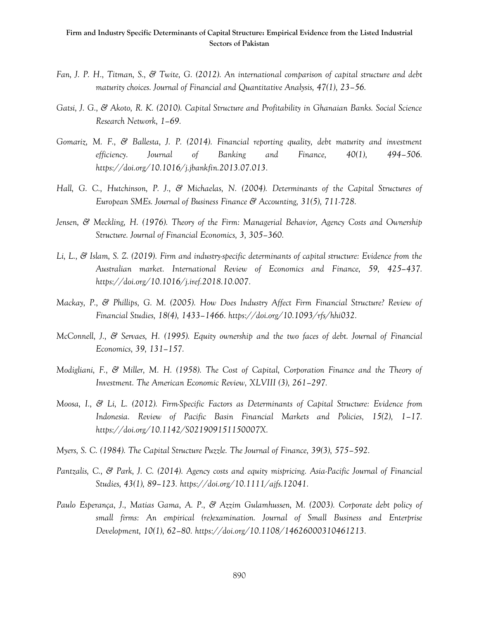- *Fan, J. P. H., Titman, S., & Twite, G. (2012). An international comparison of capital structure and debt maturity choices. Journal of Financial and Quantitative Analysis, 47(1), 23–56.*
- *Gatsi, J. G., & Akoto, R. K. (2010). Capital Structure and Profitability in Ghanaian Banks. Social Science Research Network, 1–69.*
- *Gomariz, M. F., & Ballesta, J. P. (2014). Financial reporting quality, debt maturity and investment efficiency. Journal of Banking and Finance, 40(1), 494–506. [https://doi.org/10.1016/j.jbankfin.2013.07.013.](https://doi.org/10.1016/j.jbankfin.2013.07.013)*
- *Hall, G. C., Hutchinson, P. J., & Michaelas, N. (2004). Determinants of the Capital Structures of European SMEs. Journal of Business Finance & Accounting, 31(5), 711-728.*
- *Jensen, & Meckling, H. (1976). Theory of the Firm: Managerial Behavior, Agency Costs and Ownership Structure. Journal of Financial Economics, 3, 305–360.*
- *Li, L., & Islam, S. Z. (2019). Firm and industry-specific determinants of capital structure: Evidence from the Australian market. International Review of Economics and Finance, 59, 425–437. [https://doi.org/10.1016/j.iref.2018.10.007.](https://doi.org/10.1016/j.iref.2018.10.007)*
- *Mackay, P., & Phillips, G. M. (2005). How Does Industry Affect Firm Financial Structure? Review of Financial Studies, 18(4), 1433–1466. [https://doi.org/10.1093/rfs/hhi032.](https://doi.org/10.1093/rfs/hhi032)*
- *McConnell, J., & Servaes, H. (1995). Equity ownership and the two faces of debt. Journal of Financial Economics, 39, 131–157.*
- *Modigliani, F., & Miller, M. H. (1958). The Cost of Capital, Corporation Finance and the Theory of Investment. The American Economic Review, XLVIII (3), 261–297.*
- *Moosa, I., & Li, L. (2012). Firm-Specific Factors as Determinants of Capital Structure: Evidence from Indonesia. Review of Pacific Basin Financial Markets and Policies, 15(2), 1–17. [https://doi.org/10.1142/S021909151150007X.](https://doi.org/10.1142/S021909151150007X)*
- *Myers, S. C. (1984). The Capital Structure Puzzle. The Journal of Finance, 39(3), 575–592.*
- *Pantzalis, C., & Park, J. C. (2014). Agency costs and equity mispricing. Asia-Pacific Journal of Financial Studies, 43(1), 89–123. [https://doi.org/10.1111/ajfs.12041.](https://doi.org/10.1111/ajfs.12041)*
- *Paulo Esperança, J., Matias Gama, A. P., & Azzim Gulamhussen, M. (2003). Corporate debt policy of small firms: An empirical (re)examination. Journal of Small Business and Enterprise Development, 10(1), 62–80. [https://doi.org/10.1108/14626000310461213.](https://doi.org/10.1108/14626000310461213)*